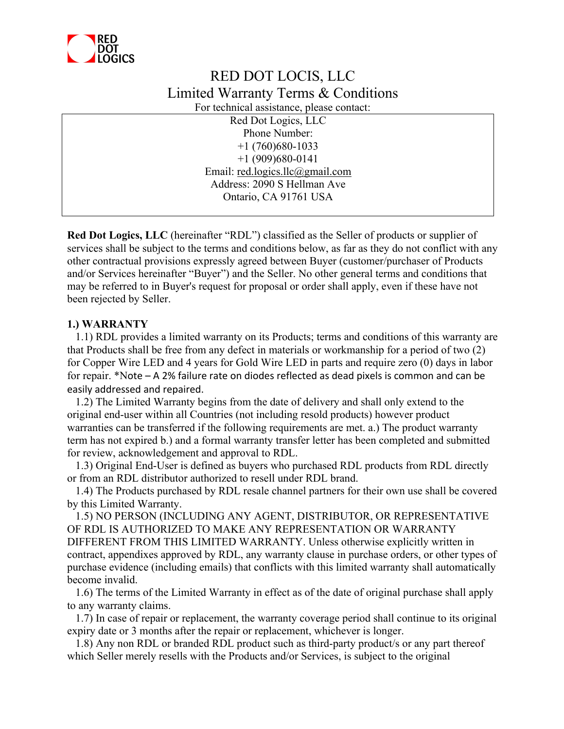

# RED DOT LOCIS, LLC Limited Warranty Terms & Conditions

For technical assistance, please contact:

Red Dot Logics, LLC Phone Number: +1 (760)680-1033 +1 (909)680-0141 Email: red.logics.llc@gmail.com Address: 2090 S Hellman Ave Ontario, CA 91761 USA

**Red Dot Logics, LLC** (hereinafter "RDL") classified as the Seller of products or supplier of services shall be subject to the terms and conditions below, as far as they do not conflict with any other contractual provisions expressly agreed between Buyer (customer/purchaser of Products and/or Services hereinafter "Buyer") and the Seller. No other general terms and conditions that may be referred to in Buyer's request for proposal or order shall apply, even if these have not been rejected by Seller.

# **1.) WARRANTY**

 1.1) RDL provides a limited warranty on its Products; terms and conditions of this warranty are that Products shall be free from any defect in materials or workmanship for a period of two (2) for Copper Wire LED and 4 years for Gold Wire LED in parts and require zero (0) days in labor for repair. \*Note – A 2% failure rate on diodes reflected as dead pixels is common and can be easily addressed and repaired.

 1.2) The Limited Warranty begins from the date of delivery and shall only extend to the original end-user within all Countries (not including resold products) however product warranties can be transferred if the following requirements are met. a.) The product warranty term has not expired b.) and a formal warranty transfer letter has been completed and submitted for review, acknowledgement and approval to RDL.

 1.3) Original End-User is defined as buyers who purchased RDL products from RDL directly or from an RDL distributor authorized to resell under RDL brand.

 1.4) The Products purchased by RDL resale channel partners for their own use shall be covered by this Limited Warranty.

 1.5) NO PERSON (INCLUDING ANY AGENT, DISTRIBUTOR, OR REPRESENTATIVE OF RDL IS AUTHORIZED TO MAKE ANY REPRESENTATION OR WARRANTY DIFFERENT FROM THIS LIMITED WARRANTY. Unless otherwise explicitly written in contract, appendixes approved by RDL, any warranty clause in purchase orders, or other types of purchase evidence (including emails) that conflicts with this limited warranty shall automatically become invalid.

 1.6) The terms of the Limited Warranty in effect as of the date of original purchase shall apply to any warranty claims.

 1.7) In case of repair or replacement, the warranty coverage period shall continue to its original expiry date or 3 months after the repair or replacement, whichever is longer.

 1.8) Any non RDL or branded RDL product such as third-party product/s or any part thereof which Seller merely resells with the Products and/or Services, is subject to the original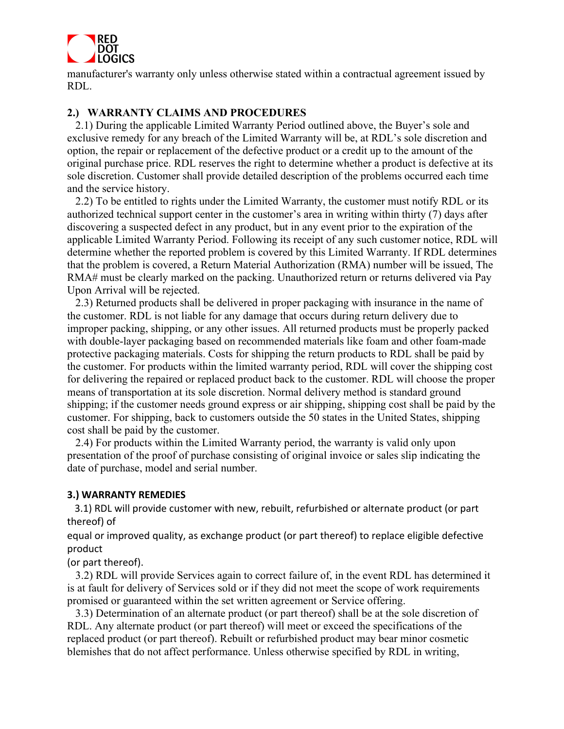

manufacturer's warranty only unless otherwise stated within a contractual agreement issued by RDL.

# **2.) WARRANTY CLAIMS AND PROCEDURES**

 2.1) During the applicable Limited Warranty Period outlined above, the Buyer's sole and exclusive remedy for any breach of the Limited Warranty will be, at RDL's sole discretion and option, the repair or replacement of the defective product or a credit up to the amount of the original purchase price. RDL reserves the right to determine whether a product is defective at its sole discretion. Customer shall provide detailed description of the problems occurred each time and the service history.

 2.2) To be entitled to rights under the Limited Warranty, the customer must notify RDL or its authorized technical support center in the customer's area in writing within thirty (7) days after discovering a suspected defect in any product, but in any event prior to the expiration of the applicable Limited Warranty Period. Following its receipt of any such customer notice, RDL will determine whether the reported problem is covered by this Limited Warranty. If RDL determines that the problem is covered, a Return Material Authorization (RMA) number will be issued, The RMA# must be clearly marked on the packing. Unauthorized return or returns delivered via Pay Upon Arrival will be rejected.

 2.3) Returned products shall be delivered in proper packaging with insurance in the name of the customer. RDL is not liable for any damage that occurs during return delivery due to improper packing, shipping, or any other issues. All returned products must be properly packed with double-layer packaging based on recommended materials like foam and other foam-made protective packaging materials. Costs for shipping the return products to RDL shall be paid by the customer. For products within the limited warranty period, RDL will cover the shipping cost for delivering the repaired or replaced product back to the customer. RDL will choose the proper means of transportation at its sole discretion. Normal delivery method is standard ground shipping; if the customer needs ground express or air shipping, shipping cost shall be paid by the customer. For shipping, back to customers outside the 50 states in the United States, shipping cost shall be paid by the customer.

 2.4) For products within the Limited Warranty period, the warranty is valid only upon presentation of the proof of purchase consisting of original invoice or sales slip indicating the date of purchase, model and serial number.

## **3.) WARRANTY REMEDIES**

 3.1) RDL will provide customer with new, rebuilt, refurbished or alternate product (or part thereof) of

equal or improved quality, as exchange product (or part thereof) to replace eligible defective product

(or part thereof).

 3.2) RDL will provide Services again to correct failure of, in the event RDL has determined it is at fault for delivery of Services sold or if they did not meet the scope of work requirements promised or guaranteed within the set written agreement or Service offering.

 3.3) Determination of an alternate product (or part thereof) shall be at the sole discretion of RDL. Any alternate product (or part thereof) will meet or exceed the specifications of the replaced product (or part thereof). Rebuilt or refurbished product may bear minor cosmetic blemishes that do not affect performance. Unless otherwise specified by RDL in writing,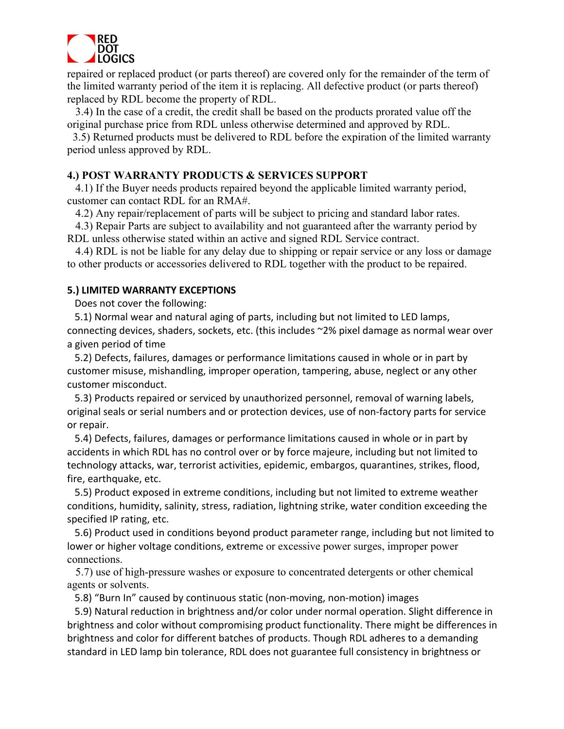

repaired or replaced product (or parts thereof) are covered only for the remainder of the term of the limited warranty period of the item it is replacing. All defective product (or parts thereof) replaced by RDL become the property of RDL.

 3.4) In the case of a credit, the credit shall be based on the products prorated value off the original purchase price from RDL unless otherwise determined and approved by RDL.

 3.5) Returned products must be delivered to RDL before the expiration of the limited warranty period unless approved by RDL.

# **4.) POST WARRANTY PRODUCTS & SERVICES SUPPORT**

 4.1) If the Buyer needs products repaired beyond the applicable limited warranty period, customer can contact RDL for an RMA#.

4.2) Any repair/replacement of parts will be subject to pricing and standard labor rates.

 4.3) Repair Parts are subject to availability and not guaranteed after the warranty period by RDL unless otherwise stated within an active and signed RDL Service contract.

 4.4) RDL is not be liable for any delay due to shipping or repair service or any loss or damage to other products or accessories delivered to RDL together with the product to be repaired.

## **5.) LIMITED WARRANTY EXCEPTIONS**

Does not cover the following:

 5.1) Normal wear and natural aging of parts, including but not limited to LED lamps, connecting devices, shaders, sockets, etc. (this includes ~2% pixel damage as normal wear over a given period of time

 5.2) Defects, failures, damages or performance limitations caused in whole or in part by customer misuse, mishandling, improper operation, tampering, abuse, neglect or any other customer misconduct.

 5.3) Products repaired or serviced by unauthorized personnel, removal of warning labels, original seals or serial numbers and or protection devices, use of non-factory parts for service or repair.

 5.4) Defects, failures, damages or performance limitations caused in whole or in part by accidents in which RDL has no control over or by force majeure, including but not limited to technology attacks, war, terrorist activities, epidemic, embargos, quarantines, strikes, flood, fire, earthquake, etc.

 5.5) Product exposed in extreme conditions, including but not limited to extreme weather conditions, humidity, salinity, stress, radiation, lightning strike, water condition exceeding the specified IP rating, etc.

 5.6) Product used in conditions beyond product parameter range, including but not limited to lower or higher voltage conditions, extreme or excessive power surges, improper power connections.

 5.7) use of high-pressure washes or exposure to concentrated detergents or other chemical agents or solvents.

5.8) "Burn In" caused by continuous static (non-moving, non-motion) images

 5.9) Natural reduction in brightness and/or color under normal operation. Slight difference in brightness and color without compromising product functionality. There might be differences in brightness and color for different batches of products. Though RDL adheres to a demanding standard in LED lamp bin tolerance, RDL does not guarantee full consistency in brightness or